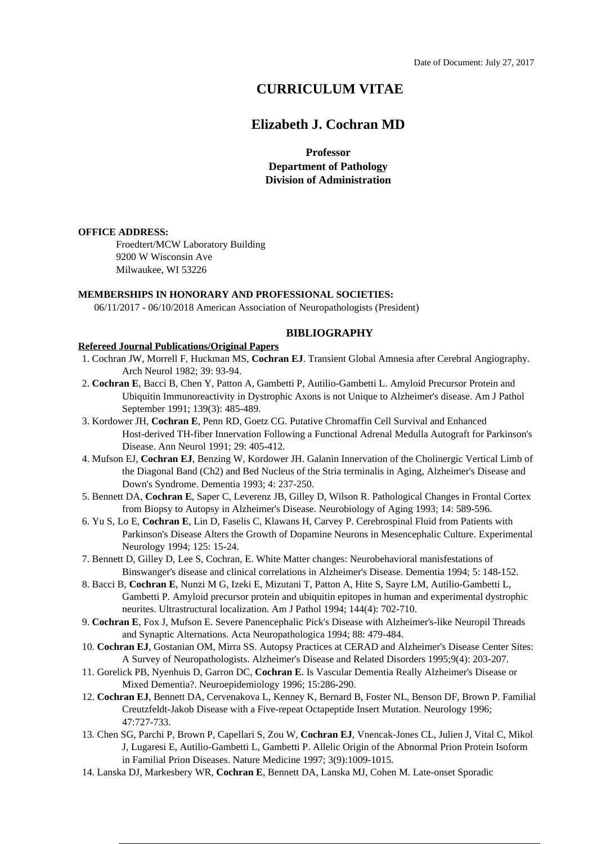# **CURRICULUM VITAE**

## **Elizabeth J. Cochran MD**

**Professor Department of Pathology Division of Administration**

#### **OFFICE ADDRESS:**

Froedtert/MCW Laboratory Building 9200 W Wisconsin Ave Milwaukee, WI 53226

#### **MEMBERSHIPS IN HONORARY AND PROFESSIONAL SOCIETIES:**

06/11/2017 - 06/10/2018 American Association of Neuropathologists (President)

#### **BIBLIOGRAPHY**

#### **Refereed Journal Publications/Original Papers**

- 1. Cochran JW, Morrell F, Huckman MS, **Cochran EJ**. Transient Global Amnesia after Cerebral Angiography. Arch Neurol 1982; 39: 93-94.
- 2. **Cochran E**, Bacci B, Chen Y, Patton A, Gambetti P, Autilio-Gambetti L. Amyloid Precursor Protein and Ubiquitin Immunoreactivity in Dystrophic Axons is not Unique to Alzheimer's disease. Am J Pathol September 1991; 139(3): 485-489.
- 3. Kordower JH, **Cochran E**, Penn RD, Goetz CG. Putative Chromaffin Cell Survival and Enhanced Host-derived TH-fiber Innervation Following a Functional Adrenal Medulla Autograft for Parkinson's Disease. Ann Neurol 1991; 29: 405-412.
- 4. Mufson EJ, **Cochran EJ**, Benzing W, Kordower JH. Galanin Innervation of the Cholinergic Vertical Limb of the Diagonal Band (Ch2) and Bed Nucleus of the Stria terminalis in Aging, Alzheimer's Disease and Down's Syndrome. Dementia 1993; 4: 237-250.
- 5. Bennett DA, **Cochran E**, Saper C, Leverenz JB, Gilley D, Wilson R. Pathological Changes in Frontal Cortex from Biopsy to Autopsy in Alzheimer's Disease. Neurobiology of Aging 1993; 14: 589-596.
- 6. Yu S, Lo E, **Cochran E**, Lin D, Faselis C, Klawans H, Carvey P. Cerebrospinal Fluid from Patients with Parkinson's Disease Alters the Growth of Dopamine Neurons in Mesencephalic Culture. Experimental Neurology 1994; 125: 15-24.
- 7. Bennett D, Gilley D, Lee S, Cochran, E. White Matter changes: Neurobehavioral manisfestations of Binswanger's disease and clinical correlations in Alzheimer's Disease. Dementia 1994; 5: 148-152.
- 8. Bacci B, **Cochran E**, Nunzi M G, Izeki E, Mizutani T, Patton A, Hite S, Sayre LM, Autilio-Gambetti L, Gambetti P. Amyloid precursor protein and ubiquitin epitopes in human and experimental dystrophic neurites. Ultrastructural localization. Am J Pathol 1994; 144(4): 702-710.
- 9. **Cochran E**, Fox J, Mufson E. Severe Panencephalic Pick's Disease with Alzheimer's-like Neuropil Threads and Synaptic Alternations. Acta Neuropathologica 1994; 88: 479-484.
- 10. **Cochran EJ**, Gostanian OM, Mirra SS. Autopsy Practices at CERAD and Alzheimer's Disease Center Sites: A Survey of Neuropathologists. Alzheimer's Disease and Related Disorders 1995;9(4): 203-207.
- 11. Gorelick PB, Nyenhuis D, Garron DC, **Cochran E**. Is Vascular Dementia Really Alzheimer's Disease or Mixed Dementia?. Neuroepidemiology 1996; 15:286-290.
- 12. **Cochran EJ**, Bennett DA, Cervenakova L, Kenney K, Bernard B, Foster NL, Benson DF, Brown P. Familial Creutzfeldt-Jakob Disease with a Five-repeat Octapeptide Insert Mutation. Neurology 1996; 47:727-733.
- 13. Chen SG, Parchi P, Brown P, Capellari S, Zou W, **Cochran EJ**, Vnencak-Jones CL, Julien J, Vital C, Mikol J, Lugaresi E, Autilio-Gambetti L, Gambetti P. Allelic Origin of the Abnormal Prion Protein Isoform in Familial Prion Diseases. Nature Medicine 1997; 3(9):1009-1015.
- 14. Lanska DJ, Markesbery WR, **Cochran E**, Bennett DA, Lanska MJ, Cohen M. Late-onset Sporadic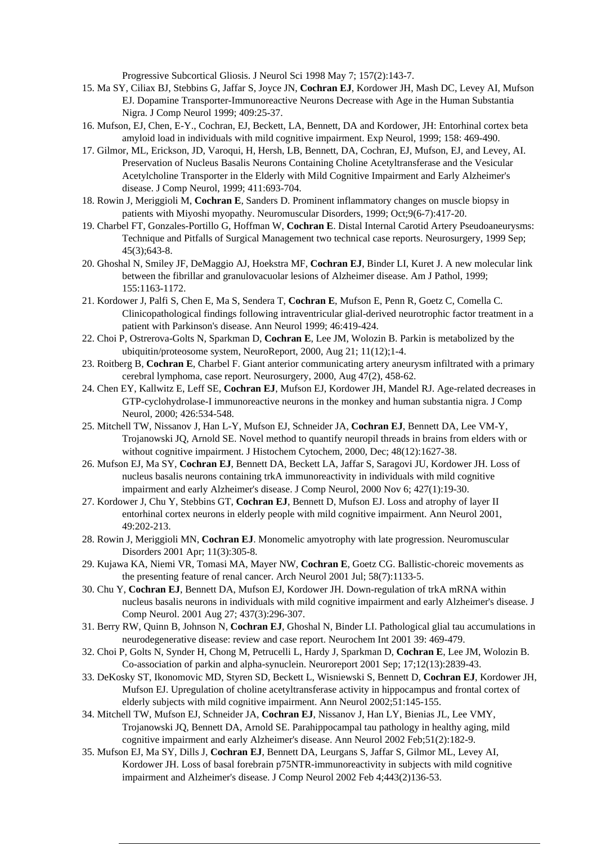Progressive Subcortical Gliosis. J Neurol Sci 1998 May 7; 157(2):143-7.

- 15. Ma SY, Ciliax BJ, Stebbins G, Jaffar S, Joyce JN, **Cochran EJ**, Kordower JH, Mash DC, Levey AI, Mufson EJ. Dopamine Transporter-Immunoreactive Neurons Decrease with Age in the Human Substantia Nigra. J Comp Neurol 1999; 409:25-37.
- 16. Mufson, EJ, Chen, E-Y., Cochran, EJ, Beckett, LA, Bennett, DA and Kordower, JH: Entorhinal cortex beta amyloid load in individuals with mild cognitive impairment. Exp Neurol, 1999; 158: 469-490.
- 17. Gilmor, ML, Erickson, JD, Varoqui, H, Hersh, LB, Bennett, DA, Cochran, EJ, Mufson, EJ, and Levey, AI. Preservation of Nucleus Basalis Neurons Containing Choline Acetyltransferase and the Vesicular Acetylcholine Transporter in the Elderly with Mild Cognitive Impairment and Early Alzheimer's disease. J Comp Neurol, 1999; 411:693-704.
- 18. Rowin J, Meriggioli M, **Cochran E**, Sanders D. Prominent inflammatory changes on muscle biopsy in patients with Miyoshi myopathy. Neuromuscular Disorders, 1999; Oct;9(6-7):417-20.
- 19. Charbel FT, Gonzales-Portillo G, Hoffman W, **Cochran E**. Distal Internal Carotid Artery Pseudoaneurysms: Technique and Pitfalls of Surgical Management two technical case reports. Neurosurgery, 1999 Sep; 45(3);643-8.
- 20. Ghoshal N, Smiley JF, DeMaggio AJ, Hoekstra MF, **Cochran EJ**, Binder LI, Kuret J. A new molecular link between the fibrillar and granulovacuolar lesions of Alzheimer disease. Am J Pathol, 1999; 155:1163-1172.
- 21. Kordower J, Palfi S, Chen E, Ma S, Sendera T, **Cochran E**, Mufson E, Penn R, Goetz C, Comella C. Clinicopathological findings following intraventricular glial-derived neurotrophic factor treatment in a patient with Parkinson's disease. Ann Neurol 1999; 46:419-424.
- 22. Choi P, Ostrerova-Golts N, Sparkman D, **Cochran E**, Lee JM, Wolozin B. Parkin is metabolized by the ubiquitin/proteosome system, NeuroReport, 2000, Aug 21; 11(12);1-4.
- 23. Roitberg B, **Cochran E**, Charbel F. Giant anterior communicating artery aneurysm infiltrated with a primary cerebral lymphoma, case report. Neurosurgery, 2000, Aug 47(2), 458-62.
- 24. Chen EY, Kallwitz E, Leff SE, **Cochran EJ**, Mufson EJ, Kordower JH, Mandel RJ. Age-related decreases in GTP-cyclohydrolase-I immunoreactive neurons in the monkey and human substantia nigra. J Comp Neurol, 2000; 426:534-548.
- 25. Mitchell TW, Nissanov J, Han L-Y, Mufson EJ, Schneider JA, **Cochran EJ**, Bennett DA, Lee VM-Y, Trojanowski JQ, Arnold SE. Novel method to quantify neuropil threads in brains from elders with or without cognitive impairment. J Histochem Cytochem, 2000, Dec; 48(12):1627-38.
- 26. Mufson EJ, Ma SY, **Cochran EJ**, Bennett DA, Beckett LA, Jaffar S, Saragovi JU, Kordower JH. Loss of nucleus basalis neurons containing trkA immunoreactivity in individuals with mild cognitive impairment and early Alzheimer's disease. J Comp Neurol, 2000 Nov 6; 427(1):19-30.
- 27. Kordower J, Chu Y, Stebbins GT, **Cochran EJ**, Bennett D, Mufson EJ. Loss and atrophy of layer II entorhinal cortex neurons in elderly people with mild cognitive impairment. Ann Neurol 2001, 49:202-213.
- 28. Rowin J, Meriggioli MN, **Cochran EJ**. Monomelic amyotrophy with late progression. Neuromuscular Disorders 2001 Apr; 11(3):305-8.
- 29. Kujawa KA, Niemi VR, Tomasi MA, Mayer NW, **Cochran E**, Goetz CG. Ballistic-choreic movements as the presenting feature of renal cancer. Arch Neurol 2001 Jul; 58(7):1133-5.
- 30. Chu Y, **Cochran EJ**, Bennett DA, Mufson EJ, Kordower JH. Down-regulation of trkA mRNA within nucleus basalis neurons in individuals with mild cognitive impairment and early Alzheimer's disease. J Comp Neurol. 2001 Aug 27; 437(3):296-307.
- 31. Berry RW, Quinn B, Johnson N, **Cochran EJ**, Ghoshal N, Binder LI. Pathological glial tau accumulations in neurodegenerative disease: review and case report. Neurochem Int 2001 39: 469-479.
- 32. Choi P, Golts N, Synder H, Chong M, Petrucelli L, Hardy J, Sparkman D, **Cochran E**, Lee JM, Wolozin B. Co-association of parkin and alpha-synuclein. Neuroreport 2001 Sep; 17;12(13):2839-43.
- 33. DeKosky ST, Ikonomovic MD, Styren SD, Beckett L, Wisniewski S, Bennett D, **Cochran EJ**, Kordower JH, Mufson EJ. Upregulation of choline acetyltransferase activity in hippocampus and frontal cortex of elderly subjects with mild cognitive impairment. Ann Neurol 2002;51:145-155.
- 34. Mitchell TW, Mufson EJ, Schneider JA, **Cochran EJ**, Nissanov J, Han LY, Bienias JL, Lee VMY, Trojanowski JQ, Bennett DA, Arnold SE. Parahippocampal tau pathology in healthy aging, mild cognitive impairment and early Alzheimer's disease. Ann Neurol 2002 Feb;51(2):182-9.
- 35. Mufson EJ, Ma SY, Dills J, **Cochran EJ**, Bennett DA, Leurgans S, Jaffar S, Gilmor ML, Levey AI, Kordower JH. Loss of basal forebrain p75NTR-immunoreactivity in subjects with mild cognitive impairment and Alzheimer's disease. J Comp Neurol 2002 Feb 4;443(2)136-53.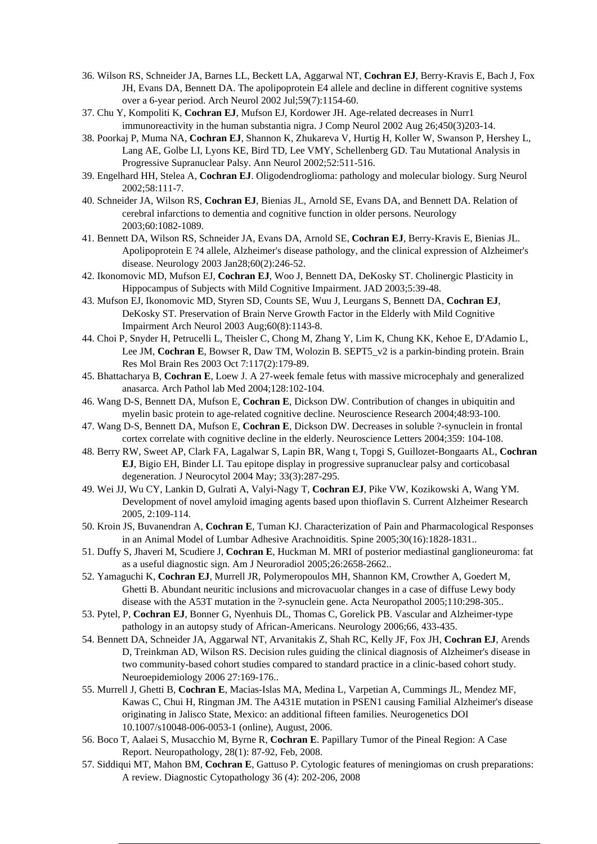- 36. Wilson RS, Schneider JA, Barnes LL, Beckett LA, Aggarwal NT, **Cochran EJ**, Berry-Kravis E, Bach J, Fox JH, Evans DA, Bennett DA. The apolipoprotein E4 allele and decline in different cognitive systems over a 6-year period. Arch Neurol 2002 Jul;59(7):1154-60.
- 37. Chu Y, Kompoliti K, **Cochran EJ**, Mufson EJ, Kordower JH. Age-related decreases in Nurr1 immunoreactivity in the human substantia nigra. J Comp Neurol 2002 Aug 26;450(3)203-14.
- 38. Poorkaj P, Muma NA, **Cochran EJ**, Shannon K, Zhukareva V, Hurtig H, Koller W, Swanson P, Hershey L, Lang AE, Golbe LI, Lyons KE, Bird TD, Lee VMY, Schellenberg GD. Tau Mutational Analysis in Progressive Supranuclear Palsy. Ann Neurol 2002;52:511-516.
- 39. Engelhard HH, Stelea A, **Cochran EJ**. Oligodendroglioma: pathology and molecular biology. Surg Neurol 2002;58:111-7.
- 40. Schneider JA, Wilson RS, **Cochran EJ**, Bienias JL, Arnold SE, Evans DA, and Bennett DA. Relation of cerebral infarctions to dementia and cognitive function in older persons. Neurology 2003;60:1082-1089.
- 41. Bennett DA, Wilson RS, Schneider JA, Evans DA, Arnold SE, **Cochran EJ**, Berry-Kravis E, Bienias JL. Apolipoprotein E ?4 allele, Alzheimer's disease pathology, and the clinical expression of Alzheimer's disease. Neurology 2003 Jan28;60(2):246-52.
- 42. Ikonomovic MD, Mufson EJ, **Cochran EJ**, Woo J, Bennett DA, DeKosky ST. Cholinergic Plasticity in Hippocampus of Subjects with Mild Cognitive Impairment. JAD 2003;5:39-48.
- 43. Mufson EJ, Ikonomovic MD, Styren SD, Counts SE, Wuu J, Leurgans S, Bennett DA, **Cochran EJ**, DeKosky ST. Preservation of Brain Nerve Growth Factor in the Elderly with Mild Cognitive Impairment Arch Neurol 2003 Aug;60(8):1143-8.
- 44. Choi P, Snyder H, Petrucelli L, Theisler C, Chong M, Zhang Y, Lim K, Chung KK, Kehoe E, D'Adamio L, Lee JM, Cochran E, Bowser R, Daw TM, Wolozin B. SEPT5 v2 is a parkin-binding protein. Brain Res Mol Brain Res 2003 Oct 7:117(2):179-89.
- 45. Bhattacharya B, **Cochran E**, Loew J. A 27-week female fetus with massive microcephaly and generalized anasarca. Arch Pathol lab Med 2004;128:102-104.
- 46. Wang D-S, Bennett DA, Mufson E, **Cochran E**, Dickson DW. Contribution of changes in ubiquitin and myelin basic protein to age-related cognitive decline. Neuroscience Research 2004;48:93-100.
- 47. Wang D-S, Bennett DA, Mufson E, **Cochran E**, Dickson DW. Decreases in soluble ?-synuclein in frontal cortex correlate with cognitive decline in the elderly. Neuroscience Letters 2004;359: 104-108.
- 48. Berry RW, Sweet AP, Clark FA, Lagalwar S, Lapin BR, Wang t, Topgi S, Guillozet-Bongaarts AL, **Cochran EJ**, Bigio EH, Binder LI. Tau epitope display in progressive supranuclear palsy and corticobasal degeneration. J Neurocytol 2004 May; 33(3):287-295.
- 49. Wei JJ, Wu CY, Lankin D, Gulrati A, Valyi-Nagy T, **Cochran EJ**, Pike VW, Kozikowski A, Wang YM. Development of novel amyloid imaging agents based upon thioflavin S. Current Alzheimer Research 2005, 2:109-114.
- 50. Kroin JS, Buvanendran A, **Cochran E**, Tuman KJ. Characterization of Pain and Pharmacological Responses in an Animal Model of Lumbar Adhesive Arachnoiditis. Spine 2005;30(16):1828-1831..
- 51. Duffy S, Jhaveri M, Scudiere J, **Cochran E**, Huckman M. MRI of posterior mediastinal ganglioneuroma: fat as a useful diagnostic sign. Am J Neuroradiol 2005;26:2658-2662..
- 52. Yamaguchi K, **Cochran EJ**, Murrell JR, Polymeropoulos MH, Shannon KM, Crowther A, Goedert M, Ghetti B. Abundant neuritic inclusions and microvacuolar changes in a case of diffuse Lewy body disease with the A53T mutation in the ?-synuclein gene. Acta Neuropathol 2005;110:298-305..
- 53. Pytel, P, **Cochran EJ**, Bonner G, Nyenhuis DL, Thomas C, Gorelick PB. Vascular and Alzheimer-type pathology in an autopsy study of African-Americans. Neurology 2006;66, 433-435.
- 54. Bennett DA, Schneider JA, Aggarwal NT, Arvanitakis Z, Shah RC, Kelly JF, Fox JH, **Cochran EJ**, Arends D, Treinkman AD, Wilson RS. Decision rules guiding the clinical diagnosis of Alzheimer's disease in two community-based cohort studies compared to standard practice in a clinic-based cohort study. Neuroepidemiology 2006 27:169-176..
- 55. Murrell J, Ghetti B, **Cochran E**, Macias-Islas MA, Medina L, Varpetian A, Cummings JL, Mendez MF, Kawas C, Chui H, Ringman JM. The A431E mutation in PSEN1 causing Familial Alzheimer's disease originating in Jalisco State, Mexico: an additional fifteen families. Neurogenetics DOI 10.1007/s10048-006-0053-1 (online), August, 2006.
- 56. Boco T, Aalaei S, Musacchio M, Byrne R, **Cochran E**. Papillary Tumor of the Pineal Region: A Case Report. Neuropathology, 28(1): 87-92, Feb, 2008.
- 57. Siddiqui MT, Mahon BM, **Cochran E**, Gattuso P. Cytologic features of meningiomas on crush preparations: A review. Diagnostic Cytopathology 36 (4): 202-206, 2008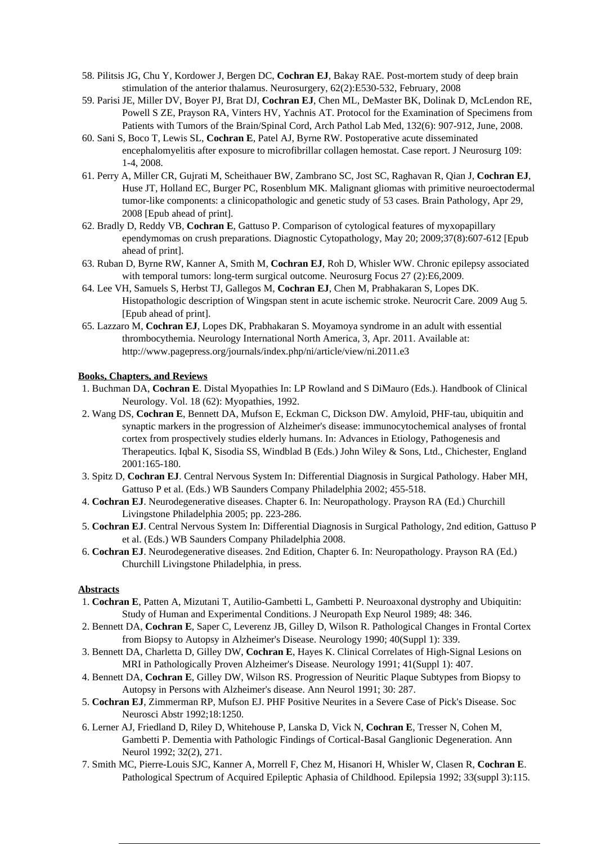- 58. Pilitsis JG, Chu Y, Kordower J, Bergen DC, **Cochran EJ**, Bakay RAE. Post-mortem study of deep brain stimulation of the anterior thalamus. Neurosurgery, 62(2):E530-532, February, 2008
- 59. Parisi JE, Miller DV, Boyer PJ, Brat DJ, **Cochran EJ**, Chen ML, DeMaster BK, Dolinak D, McLendon RE, Powell S ZE, Prayson RA, Vinters HV, Yachnis AT. Protocol for the Examination of Specimens from Patients with Tumors of the Brain/Spinal Cord, Arch Pathol Lab Med, 132(6): 907-912, June, 2008.
- 60. Sani S, Boco T, Lewis SL, **Cochran E**, Patel AJ, Byrne RW. Postoperative acute disseminated encephalomyelitis after exposure to microfibrillar collagen hemostat. Case report. J Neurosurg 109: 1-4, 2008.
- 61. Perry A, Miller CR, Gujrati M, Scheithauer BW, Zambrano SC, Jost SC, Raghavan R, Qian J, **Cochran EJ**, Huse JT, Holland EC, Burger PC, Rosenblum MK. Malignant gliomas with primitive neuroectodermal tumor-like components: a clinicopathologic and genetic study of 53 cases. Brain Pathology, Apr 29, 2008 [Epub ahead of print].
- 62. Bradly D, Reddy VB, **Cochran E**, Gattuso P. Comparison of cytological features of myxopapillary ependymomas on crush preparations. Diagnostic Cytopathology, May 20; 2009;37(8):607-612 [Epub ahead of print].
- 63. Ruban D, Byrne RW, Kanner A, Smith M, **Cochran EJ**, Roh D, Whisler WW. Chronic epilepsy associated with temporal tumors: long-term surgical outcome. Neurosurg Focus 27 (2):E6,2009.
- 64. Lee VH, Samuels S, Herbst TJ, Gallegos M, **Cochran EJ**, Chen M, Prabhakaran S, Lopes DK. Histopathologic description of Wingspan stent in acute ischemic stroke. Neurocrit Care. 2009 Aug 5. [Epub ahead of print].
- 65. Lazzaro M, **Cochran EJ**, Lopes DK, Prabhakaran S. Moyamoya syndrome in an adult with essential thrombocythemia. Neurology International North America, 3, Apr. 2011. Available at: http://www.pagepress.org/journals/index.php/ni/article/view/ni.2011.e3

### **Books, Chapters, and Reviews**

- 1. Buchman DA, **Cochran E**. Distal Myopathies In: LP Rowland and S DiMauro (Eds.). Handbook of Clinical Neurology. Vol. 18 (62): Myopathies, 1992.
- 2. Wang DS, **Cochran E**, Bennett DA, Mufson E, Eckman C, Dickson DW. Amyloid, PHF-tau, ubiquitin and synaptic markers in the progression of Alzheimer's disease: immunocytochemical analyses of frontal cortex from prospectively studies elderly humans. In: Advances in Etiology, Pathogenesis and Therapeutics. Iqbal K, Sisodia SS, Windblad B (Eds.) John Wiley & Sons, Ltd., Chichester, England 2001:165-180.
- 3. Spitz D, **Cochran EJ**. Central Nervous System In: Differential Diagnosis in Surgical Pathology. Haber MH, Gattuso P et al. (Eds.) WB Saunders Company Philadelphia 2002; 455-518.
- 4. **Cochran EJ**. Neurodegenerative diseases. Chapter 6. In: Neuropathology. Prayson RA (Ed.) Churchill Livingstone Philadelphia 2005; pp. 223-286.
- 5. **Cochran EJ**. Central Nervous System In: Differential Diagnosis in Surgical Pathology, 2nd edition, Gattuso P et al. (Eds.) WB Saunders Company Philadelphia 2008.
- 6. **Cochran EJ**. Neurodegenerative diseases. 2nd Edition, Chapter 6. In: Neuropathology. Prayson RA (Ed.) Churchill Livingstone Philadelphia, in press.

### **Abstracts**

- 1. **Cochran E**, Patten A, Mizutani T, Autilio-Gambetti L, Gambetti P. Neuroaxonal dystrophy and Ubiquitin: Study of Human and Experimental Conditions. J Neuropath Exp Neurol 1989; 48: 346.
- 2. Bennett DA, **Cochran E**, Saper C, Leverenz JB, Gilley D, Wilson R. Pathological Changes in Frontal Cortex from Biopsy to Autopsy in Alzheimer's Disease. Neurology 1990; 40(Suppl 1): 339.
- 3. Bennett DA, Charletta D, Gilley DW, **Cochran E**, Hayes K. Clinical Correlates of High-Signal Lesions on MRI in Pathologically Proven Alzheimer's Disease. Neurology 1991; 41(Suppl 1): 407.
- 4. Bennett DA, **Cochran E**, Gilley DW, Wilson RS. Progression of Neuritic Plaque Subtypes from Biopsy to Autopsy in Persons with Alzheimer's disease. Ann Neurol 1991; 30: 287.
- 5. **Cochran EJ**, Zimmerman RP, Mufson EJ. PHF Positive Neurites in a Severe Case of Pick's Disease. Soc Neurosci Abstr 1992;18:1250.
- 6. Lerner AJ, Friedland D, Riley D, Whitehouse P, Lanska D, Vick N, **Cochran E**, Tresser N, Cohen M, Gambetti P. Dementia with Pathologic Findings of Cortical-Basal Ganglionic Degeneration. Ann Neurol 1992; 32(2), 271.
- 7. Smith MC, Pierre-Louis SJC, Kanner A, Morrell F, Chez M, Hisanori H, Whisler W, Clasen R, **Cochran E**. Pathological Spectrum of Acquired Epileptic Aphasia of Childhood. Epilepsia 1992; 33(suppl 3):115.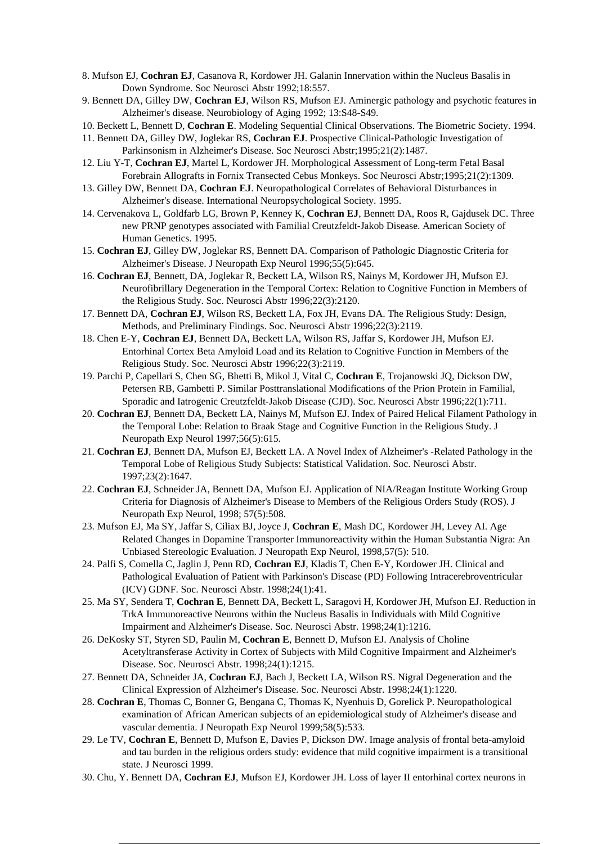- 8. Mufson EJ, **Cochran EJ**, Casanova R, Kordower JH. Galanin Innervation within the Nucleus Basalis in Down Syndrome. Soc Neurosci Abstr 1992;18:557.
- 9. Bennett DA, Gilley DW, **Cochran EJ**, Wilson RS, Mufson EJ. Aminergic pathology and psychotic features in Alzheimer's disease. Neurobiology of Aging 1992; 13:S48-S49.
- 10. Beckett L, Bennett D, **Cochran E**. Modeling Sequential Clinical Observations. The Biometric Society. 1994.
- 11. Bennett DA, Gilley DW, Joglekar RS, **Cochran EJ**. Prospective Clinical-Pathologic Investigation of Parkinsonism in Alzheimer's Disease. Soc Neurosci Abstr;1995;21(2):1487.
- 12. Liu Y-T, **Cochran EJ**, Martel L, Kordower JH. Morphological Assessment of Long-term Fetal Basal Forebrain Allografts in Fornix Transected Cebus Monkeys. Soc Neurosci Abstr;1995;21(2):1309.
- 13. Gilley DW, Bennett DA, **Cochran EJ**. Neuropathological Correlates of Behavioral Disturbances in Alzheimer's disease. International Neuropsychological Society. 1995.
- 14. Cervenakova L, Goldfarb LG, Brown P, Kenney K, **Cochran EJ**, Bennett DA, Roos R, Gajdusek DC. Three new PRNP genotypes associated with Familial Creutzfeldt-Jakob Disease. American Society of Human Genetics. 1995.
- 15. **Cochran EJ**, Gilley DW, Joglekar RS, Bennett DA. Comparison of Pathologic Diagnostic Criteria for Alzheimer's Disease. J Neuropath Exp Neurol 1996;55(5):645.
- 16. **Cochran EJ**, Bennett, DA, Joglekar R, Beckett LA, Wilson RS, Nainys M, Kordower JH, Mufson EJ. Neurofibrillary Degeneration in the Temporal Cortex: Relation to Cognitive Function in Members of the Religious Study. Soc. Neurosci Abstr 1996;22(3):2120.
- 17. Bennett DA, **Cochran EJ**, Wilson RS, Beckett LA, Fox JH, Evans DA. The Religious Study: Design, Methods, and Preliminary Findings. Soc. Neurosci Abstr 1996;22(3):2119.
- 18. Chen E-Y, **Cochran EJ**, Bennett DA, Beckett LA, Wilson RS, Jaffar S, Kordower JH, Mufson EJ. Entorhinal Cortex Beta Amyloid Load and its Relation to Cognitive Function in Members of the Religious Study. Soc. Neurosci Abstr 1996;22(3):2119.
- 19. Parchi P, Capellari S, Chen SG, Bhetti B, Mikol J, Vital C, **Cochran E**, Trojanowski JQ, Dickson DW, Petersen RB, Gambetti P. Similar Posttranslational Modifications of the Prion Protein in Familial, Sporadic and Iatrogenic Creutzfeldt-Jakob Disease (CJD). Soc. Neurosci Abstr 1996;22(1):711.
- 20. **Cochran EJ**, Bennett DA, Beckett LA, Nainys M, Mufson EJ. Index of Paired Helical Filament Pathology in the Temporal Lobe: Relation to Braak Stage and Cognitive Function in the Religious Study. J Neuropath Exp Neurol 1997;56(5):615.
- 21. **Cochran EJ**, Bennett DA, Mufson EJ, Beckett LA. A Novel Index of Alzheimer's -Related Pathology in the Temporal Lobe of Religious Study Subjects: Statistical Validation. Soc. Neurosci Abstr. 1997;23(2):1647.
- 22. **Cochran EJ**, Schneider JA, Bennett DA, Mufson EJ. Application of NIA/Reagan Institute Working Group Criteria for Diagnosis of Alzheimer's Disease to Members of the Religious Orders Study (ROS). J Neuropath Exp Neurol, 1998; 57(5):508.
- 23. Mufson EJ, Ma SY, Jaffar S, Ciliax BJ, Joyce J, **Cochran E**, Mash DC, Kordower JH, Levey AI. Age Related Changes in Dopamine Transporter Immunoreactivity within the Human Substantia Nigra: An Unbiased Stereologic Evaluation. J Neuropath Exp Neurol, 1998,57(5): 510.
- 24. Palfi S, Comella C, Jaglin J, Penn RD, **Cochran EJ**, Kladis T, Chen E-Y, Kordower JH. Clinical and Pathological Evaluation of Patient with Parkinson's Disease (PD) Following Intracerebroventricular (ICV) GDNF. Soc. Neurosci Abstr. 1998;24(1):41.
- 25. Ma SY, Sendera T, **Cochran E**, Bennett DA, Beckett L, Saragovi H, Kordower JH, Mufson EJ. Reduction in TrkA Immunoreactive Neurons within the Nucleus Basalis in Individuals with Mild Cognitive Impairment and Alzheimer's Disease. Soc. Neurosci Abstr. 1998;24(1):1216.
- 26. DeKosky ST, Styren SD, Paulin M, **Cochran E**, Bennett D, Mufson EJ. Analysis of Choline Acetyltransferase Activity in Cortex of Subjects with Mild Cognitive Impairment and Alzheimer's Disease. Soc. Neurosci Abstr. 1998;24(1):1215.
- 27. Bennett DA, Schneider JA, **Cochran EJ**, Bach J, Beckett LA, Wilson RS. Nigral Degeneration and the Clinical Expression of Alzheimer's Disease. Soc. Neurosci Abstr. 1998;24(1):1220.
- 28. **Cochran E**, Thomas C, Bonner G, Bengana C, Thomas K, Nyenhuis D, Gorelick P. Neuropathological examination of African American subjects of an epidemiological study of Alzheimer's disease and vascular dementia. J Neuropath Exp Neurol 1999;58(5):533.
- 29. Le TV, **Cochran E**, Bennett D, Mufson E, Davies P, Dickson DW. Image analysis of frontal beta-amyloid and tau burden in the religious orders study: evidence that mild cognitive impairment is a transitional state. J Neurosci 1999.
- 30. Chu, Y. Bennett DA, **Cochran EJ**, Mufson EJ, Kordower JH. Loss of layer II entorhinal cortex neurons in